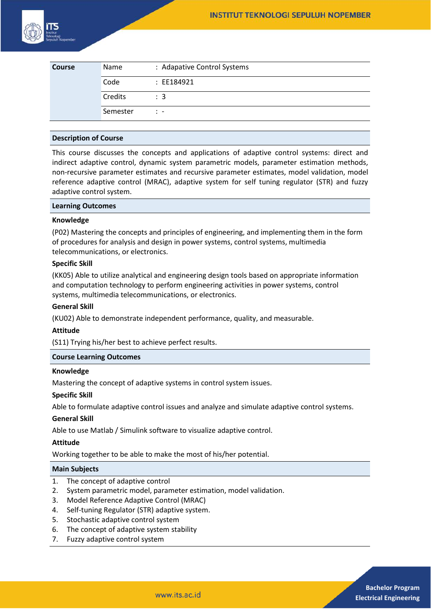

| <b>Course</b> | Name     | : Adapative Control Systems |
|---------------|----------|-----------------------------|
|               | Code     | : EE184921                  |
|               | Credits  | $\therefore$ 3              |
|               | Semester | $\mathbb{R}$ -              |

## **Description of Course**

This course discusses the concepts and applications of adaptive control systems: direct and indirect adaptive control, dynamic system parametric models, parameter estimation methods, non-recursive parameter estimates and recursive parameter estimates, model validation, model reference adaptive control (MRAC), adaptive system for self tuning regulator (STR) and fuzzy adaptive control system.

## **Learning Outcomes**

# **Knowledge**

(P02) Mastering the concepts and principles of engineering, and implementing them in the form of procedures for analysis and design in power systems, control systems, multimedia telecommunications, or electronics.

# **Specific Skill**

(KK05) Able to utilize analytical and engineering design tools based on appropriate information and computation technology to perform engineering activities in power systems, control systems, multimedia telecommunications, or electronics.

## **General Skill**

(KU02) Able to demonstrate independent performance, quality, and measurable.

#### **Attitude**

(S11) Trying his/her best to achieve perfect results.

# **Course Learning Outcomes**

#### **Knowledge**

Mastering the concept of adaptive systems in control system issues.

#### **Specific Skill**

Able to formulate adaptive control issues and analyze and simulate adaptive control systems.

# **General Skill**

Able to use Matlab / Simulink software to visualize adaptive control.

# **Attitude**

Working together to be able to make the most of his/her potential.

#### **Main Subjects**

- 1. The concept of adaptive control
- 2. System parametric model, parameter estimation, model validation.
- 3. Model Reference Adaptive Control (MRAC)
- 4. Self-tuning Regulator (STR) adaptive system.
- 5. Stochastic adaptive control system
- 6. The concept of adaptive system stability
- 7. Fuzzy adaptive control system